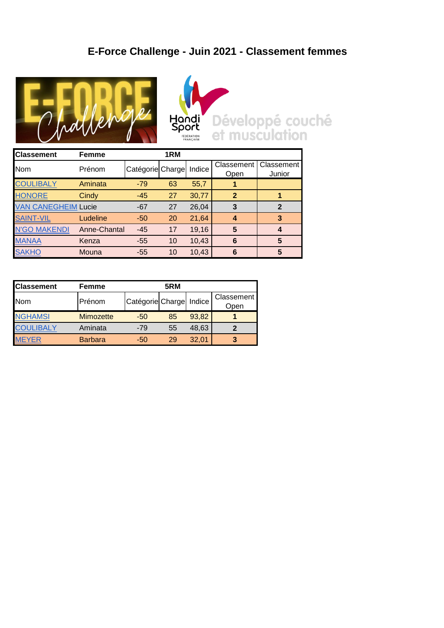## **E-Force Challenge - Juin 2021 - Classement femmes**





Développé couché<br>et musculation

| <b>Classement</b>          | Femme        |                  | 1RM |        |             |            |
|----------------------------|--------------|------------------|-----|--------|-------------|------------|
| <b>Nom</b>                 | Prénom       | Catégorie Charge |     | Indice | Classement  | Classement |
|                            |              |                  |     |        | Open        | Junior     |
| <b>COULIBALY</b>           | Aminata      | $-79$            | 63  | 55,7   |             |            |
| <b>HONORE</b>              | Cindy        | $-45$            | 27  | 30,77  | $\mathbf 2$ |            |
| <b>VAN CANEGHEIM Lucie</b> |              | $-67$            | 27  | 26,04  | 3           | 2          |
| <b>SAINT-VIL</b>           | Ludeline     | $-50$            | 20  | 21,64  | 4           | 3          |
| <b>N'GO MAKENDI</b>        | Anne-Chantal | $-45$            | 17  | 19,16  | 5           |            |
| <b>MANAA</b>               | Kenza        | $-55$            | 10  | 10,43  | 6           | 5          |
| <b>SAKHO</b>               | Mouna        | $-55$            | 10  | 10,43  | 6           | 5          |

| <b>Classement</b> | 5RM<br>Femme     |                  |    |        |                    |  |
|-------------------|------------------|------------------|----|--------|--------------------|--|
| <b>Nom</b>        | Prénom           | Catégorie Charge |    | Indice | Classement<br>Open |  |
| <b>NGHAMSI</b>    | <b>Mimozette</b> | $-50$            | 85 | 93,82  |                    |  |
| <b>CC</b>         | Aminata          | $-79$            | 55 | 48,63  |                    |  |
|                   | <b>Barbara</b>   | -50              | 29 | 32,01  | 3                  |  |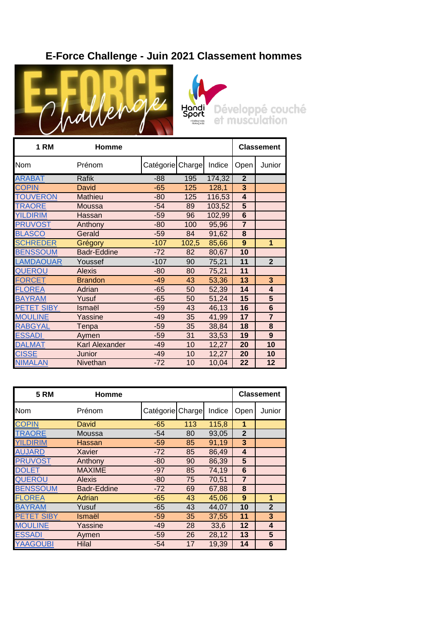## **E-Force Challenge - Juin 2021 Classement hommes**





| <b>1 RM</b>       | Homme                 |                  | <b>Classement</b> |        |                         |                |
|-------------------|-----------------------|------------------|-------------------|--------|-------------------------|----------------|
| Nom               | Prénom                | Catégorie Charge |                   | Indice | Open                    | Junior         |
| <b>ARABAT</b>     | <b>Rafik</b>          | $-88$            | 195               | 174,32 | $\overline{2}$          |                |
| <b>COPIN</b>      | <b>David</b>          | $-65$            | 125               | 128,1  | 3                       |                |
| <b>TOUVERON</b>   | Mathieu               | $-80$            | 125               | 116,53 | $\overline{\mathbf{4}}$ |                |
| <b>TRAORE</b>     | <b>Moussa</b>         | $-54$            | 89                | 103,52 | 5                       |                |
| <b>YILDIRIM</b>   | Hassan                | $-59$            | 96                | 102,99 | 6                       |                |
| <b>PRUVOST</b>    | Anthony               | $-80$            | 100               | 95,96  | $\overline{7}$          |                |
| <b>BLASCO</b>     | Gerald                | $-59$            | 84                | 91,62  | 8                       |                |
| <b>SCHREDER</b>   | Grégory               | $-107$           | 102,5             | 85,66  | 9                       | 1              |
| <b>BENSSOUM</b>   | <b>Badr-Eddine</b>    | $-72$            | 82                | 80,67  | 10                      |                |
| <b>LAMDAOUAR</b>  | Youssef               | $-107$           | 90                | 75,21  | 11                      | $\overline{2}$ |
| <b>QUEROU</b>     | <b>Alexis</b>         | $-80$            | 80                | 75,21  | 11                      |                |
| <b>FORCET</b>     | <b>Brandon</b>        | $-49$            | 43                | 53,36  | 13                      | 3              |
| <b>FLOREA</b>     | Adrian                | $-65$            | 50                | 52,39  | 14                      | 4              |
| <b>BAYRAM</b>     | Yusuf                 | $-65$            | 50                | 51,24  | 15                      | 5              |
| <b>PETET SIBY</b> | Ismaël                | $-59$            | 43                | 46,13  | 16                      | $6\phantom{1}$ |
| <b>MOULINE</b>    | Yassine               | $-49$            | 35                | 41,99  | 17                      | $\overline{7}$ |
| <b>RABGYAL</b>    | Tenpa                 | $-59$            | 35                | 38,84  | 18                      | 8              |
| <b>ESSADI</b>     | Aymen                 | $-59$            | 31                | 33,53  | 19                      | 9              |
| <b>DALMAT</b>     | <b>Karl Alexander</b> | $-49$            | 10                | 12,27  | 20                      | 10             |
| <b>CISSE</b>      | Junior                | $-49$            | 10                | 12,27  | 20                      | 10             |
| <b>NIMALAN</b>    | Nivethan              | $-72$            | 10                | 10,04  | 22                      | 12             |

| <b>5 RM</b>       | <b>Homme</b>       |                  | Classement |        |                |              |
|-------------------|--------------------|------------------|------------|--------|----------------|--------------|
| <b>Nom</b>        | Prénom             | Catégorie Charge |            | Indice | Open           | Junior       |
| <b>COPIN</b>      | David              | $-65$            | 113        | 115,8  | 1              |              |
| <b>TRAORE</b>     | Moussa             | $-54$            | 80         | 93,05  | $\overline{2}$ |              |
| <b>YILDIRIM</b>   | Hassan             | $-59$            | 85         | 91,19  | 3              |              |
| <b>AUJARD</b>     | <b>Xavier</b>      | $-72$            | 85         | 86,49  | 4              |              |
| <b>PRUVOST</b>    | Anthony            | $-80$            | 90         | 86,39  | 5              |              |
| <b>DOLET</b>      | <b>MAXIME</b>      | $-97$            | 85         | 74,19  | 6              |              |
| <b>QUEROU</b>     | <b>Alexis</b>      | $-80$            | 75         | 70,51  | $\overline{7}$ |              |
| <b>BENSSOUM</b>   | <b>Badr-Eddine</b> | $-72$            | 69         | 67,88  | 8              |              |
| <b>FLOREA</b>     | Adrian             | $-65$            | 43         | 45,06  | 9              | 1            |
| <b>BAYRAM</b>     | Yusuf              | $-65$            | 43         | 44,07  | 10             | $\mathbf{2}$ |
| <b>PETET SIBY</b> | Ismaël             | $-59$            | 35         | 37,55  | 11             | 3            |
| <b>MOULINE</b>    | Yassine            | $-49$            | 28         | 33,6   | 12             | 4            |
| <b>ESSADI</b>     | Aymen              | $-59$            | 26         | 28,12  | 13             | 5            |
| <b>YAAGOUBI</b>   | <b>Hilal</b>       | $-54$            | 17         | 19,39  | 14             | 6            |